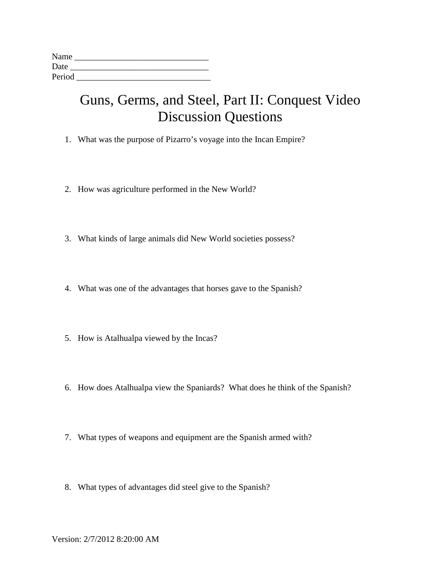| Name   |  |  |
|--------|--|--|
| Date   |  |  |
| Period |  |  |

## Guns, Germs, and Steel, Part II: Conquest Video Discussion Questions

- 1. What was the purpose of Pizarro's voyage into the Incan Empire?
- 2. How was agriculture performed in the New World?
- 3. What kinds of large animals did New World societies possess?
- 4. What was one of the advantages that horses gave to the Spanish?
- 5. How is Atalhualpa viewed by the Incas?
- 6. How does Atalhualpa view the Spaniards? What does he think of the Spanish?
- 7. What types of weapons and equipment are the Spanish armed with?
- 8. What types of advantages did steel give to the Spanish?